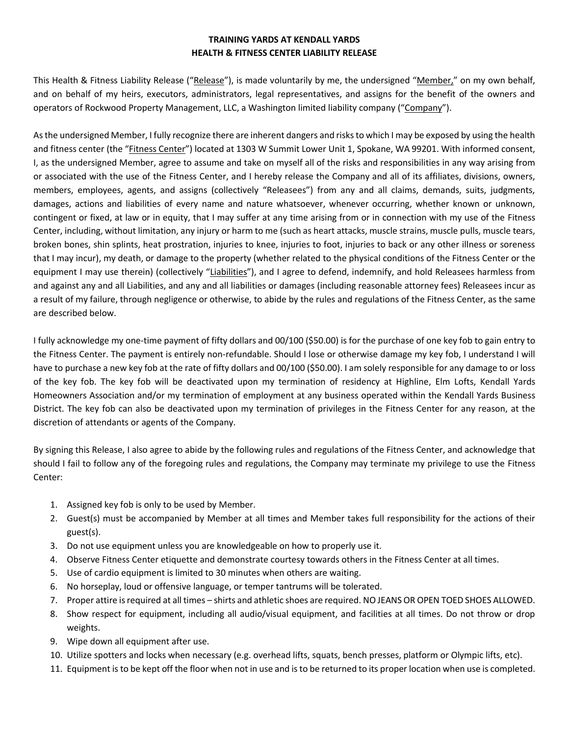## **TRAINING YARDS AT KENDALL YARDS HEALTH & FITNESS CENTER LIABILITY RELEASE**

This Health & Fitness Liability Release ("Release"), is made voluntarily by me, the undersigned "Member," on my own behalf, and on behalf of my heirs, executors, administrators, legal representatives, and assigns for the benefit of the owners and operators of Rockwood Property Management, LLC, a Washington limited liability company ("Company").

As the undersigned Member, I fully recognize there are inherent dangers and risks to which I may be exposed by using the health and fitness center (the "Fitness Center") located at 1303 W Summit Lower Unit 1, Spokane, WA 99201. With informed consent, I, as the undersigned Member, agree to assume and take on myself all of the risks and responsibilities in any way arising from or associated with the use of the Fitness Center, and I hereby release the Company and all of its affiliates, divisions, owners, members, employees, agents, and assigns (collectively "Releasees") from any and all claims, demands, suits, judgments, damages, actions and liabilities of every name and nature whatsoever, whenever occurring, whether known or unknown, contingent or fixed, at law or in equity, that I may suffer at any time arising from or in connection with my use of the Fitness Center, including, without limitation, any injury or harm to me (such as heart attacks, muscle strains, muscle pulls, muscle tears, broken bones, shin splints, heat prostration, injuries to knee, injuries to foot, injuries to back or any other illness or soreness that I may incur), my death, or damage to the property (whether related to the physical conditions of the Fitness Center or the equipment I may use therein) (collectively "Liabilities"), and I agree to defend, indemnify, and hold Releasees harmless from and against any and all Liabilities, and any and all liabilities or damages (including reasonable attorney fees) Releasees incur as a result of my failure, through negligence or otherwise, to abide by the rules and regulations of the Fitness Center, as the same are described below.

I fully acknowledge my one-time payment of fifty dollars and 00/100 (\$50.00) is for the purchase of one key fob to gain entry to the Fitness Center. The payment is entirely non-refundable. Should I lose or otherwise damage my key fob, I understand I will have to purchase a new key fob at the rate of fifty dollars and 00/100 (\$50.00). I am solely responsible for any damage to or loss of the key fob. The key fob will be deactivated upon my termination of residency at Highline, Elm Lofts, Kendall Yards Homeowners Association and/or my termination of employment at any business operated within the Kendall Yards Business District. The key fob can also be deactivated upon my termination of privileges in the Fitness Center for any reason, at the discretion of attendants or agents of the Company.

By signing this Release, I also agree to abide by the following rules and regulations of the Fitness Center, and acknowledge that should I fail to follow any of the foregoing rules and regulations, the Company may terminate my privilege to use the Fitness Center:

- 1. Assigned key fob is only to be used by Member.
- 2. Guest(s) must be accompanied by Member at all times and Member takes full responsibility for the actions of their guest(s).
- 3. Do not use equipment unless you are knowledgeable on how to properly use it.
- 4. Observe Fitness Center etiquette and demonstrate courtesy towards others in the Fitness Center at all times.
- 5. Use of cardio equipment is limited to 30 minutes when others are waiting.
- 6. No horseplay, loud or offensive language, or temper tantrums will be tolerated.
- 7. Proper attire is required at all times shirts and athletic shoes are required. NO JEANS OR OPEN TOED SHOES ALLOWED.
- 8. Show respect for equipment, including all audio/visual equipment, and facilities at all times. Do not throw or drop weights.
- 9. Wipe down all equipment after use.
- 10. Utilize spotters and locks when necessary (e.g. overhead lifts, squats, bench presses, platform or Olympic lifts, etc).
- 11. Equipment is to be kept off the floor when not in use and is to be returned to its proper location when use is completed.